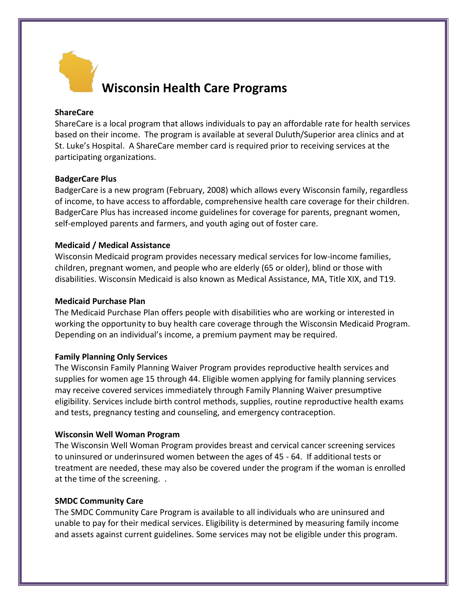

# **Wisconsin Health Care Programs**

# **ShareCare**

ShareCare is a local program that allows individuals to pay an affordable rate for health services based on their income. The program is available at several Duluth/Superior area clinics and at St. Luke's Hospital. A ShareCare member card is required prior to receiving services at the participating organizations.

### **BadgerCare Plus**

BadgerCare is a new program (February, 2008) which allows every Wisconsin family, regardless of income, to have access to affordable, comprehensive health care coverage for their children. BadgerCare Plus has increased income guidelines for coverage for parents, pregnant women, self-employed parents and farmers, and youth aging out of foster care.

# **Medicaid / Medical Assistance**

Wisconsin Medicaid program provides necessary medical services for low-income families, children, pregnant women, and people who are elderly (65 or older), blind or those with disabilities. Wisconsin Medicaid is also known as Medical Assistance, MA, Title XIX, and T19.

#### **Medicaid Purchase Plan**

The Medicaid Purchase Plan offers people with disabilities who are working or interested in working the opportunity to buy health care coverage through the Wisconsin Medicaid Program. Depending on an individual's income, a premium payment may be required.

# **Family Planning Only Services**

The Wisconsin Family Planning Waiver Program provides reproductive health services and supplies for women age 15 through 44. Eligible women applying for family planning services may receive covered services immediately through Family Planning Waiver presumptive eligibility. Services include birth control methods, supplies, routine reproductive health exams and tests, pregnancy testing and counseling, and emergency contraception.

#### **Wisconsin Well Woman Program**

The Wisconsin Well Woman Program provides breast and cervical cancer screening services to uninsured or underinsured women between the ages of 45 - 64. If additional tests or treatment are needed, these may also be covered under the program if the woman is enrolled at the time of the screening. .

#### **SMDC Community Care**

The SMDC Community Care Program is available to all individuals who are uninsured and unable to pay for their medical services. Eligibility is determined by measuring family income and assets against current guidelines. Some services may not be eligible under this program.